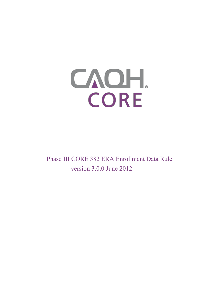

Phase III CORE 382 ERA Enrollment Data Rule version 3.0.0 June 2012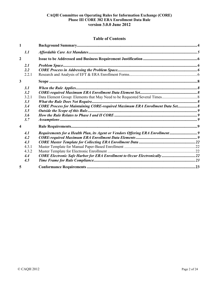# **Table of Contents**

| 1              |                                                                               |  |
|----------------|-------------------------------------------------------------------------------|--|
| 1.1            |                                                                               |  |
| $\overline{2}$ |                                                                               |  |
| 2.1            |                                                                               |  |
| 2.2            |                                                                               |  |
| 2.2.1          |                                                                               |  |
| 3              |                                                                               |  |
| 3.1            |                                                                               |  |
| 3.2            |                                                                               |  |
| 3.2.1          |                                                                               |  |
| 3.3            |                                                                               |  |
| 3.4            | CORE Process for Maintaining CORE-required Maximum ERA Enrollment Data Set 8  |  |
| 3.5            |                                                                               |  |
| 3.6            |                                                                               |  |
| 3.7            |                                                                               |  |
| 4              |                                                                               |  |
| 4.1            | Requirements for a Health Plan, its Agent or Vendors Offering ERA Enrollment9 |  |
| 4.2            |                                                                               |  |
| 4.3            |                                                                               |  |
| 4.3.1          |                                                                               |  |
| 4.3.2          |                                                                               |  |
| 4.4            | CORE Electronic Safe Harbor for ERA Enrollment to Occur Electronically 22     |  |
| 4.5            |                                                                               |  |
| 5              |                                                                               |  |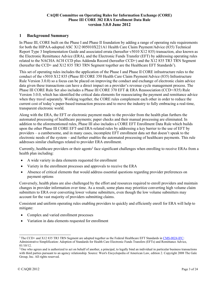# <span id="page-2-0"></span>**1 Background Summary**

In Phase III, CORE built on the Phase I and Phase II foundation by adding a range of operating rule requirements for both the HIPAA-adopted ASC X12 005010X221A1 Health Care Claim Payment/Advice (835) Technical Report Type 3 Implementation Guide and associated errata (hereafter v5010 X12 835) transaction, also known as the Electronic Remittance Advice (ERA), and the Electronic Funds Transfer (EFT) by addressing operating rules related to the NACHA ACH CCD plus Addenda Record (hereafter CCD+) and the X12 835 TR3 TRN Segment (hereafter the CCD+ and X12 835 TR3 TRN Segment together are the Healthcare EFT Standards<sup>1</sup>).

This set of operating rules includes the application of the Phase I and Phase II CORE infrastructure rules to the conduct of the v5010 X12 835 (Phase III CORE 350 Health Care Claim Payment/Advice (835) Infrastructure Rule Version 3.0.0) so a focus can be placed on improving the conduct and exchange of electronic claim advice data given these transactions can have a direct impact on a provider's revenue cycle management process. The Phase III CORE Rule Set also includes a Phase III CORE 370 EFT & ERA Reassociation (CCD+/835) Rule Version 3.0.0, which has identified the critical data elements for reassociating the payment and remittance advice when they travel separately. Working together, the CORE rules complement each other in order to reduce the current cost of today's paper-based transaction process and to move the industry to fully embracing a real-time, transparent electronic world.

Along with the ERA, the EFT or electronic payment made to the provider from the health plan furthers the automated processing of healthcare payments; paper checks and their manual processing are eliminated. In addition to the aforementioned rules, Phase III also includes a CORE EFT Enrollment Data Rule which builds upon the other Phase III CORE EFT-and ERA-related rules by addressing a key barrier to the use of EFT by providers – a cumbersome, and in many cases, incomplete EFT enrollment data set that doesn't speak to the electronic needs of the system – and further enables the automated processing of healthcare payments. This rule addresses similar challenges related to provider ERA enrollment.

Currently, healthcare providers or their agents<sup>2</sup> face significant challenges when enrolling to receive ERAs from a health plan including:

- A wide variety in data elements requested for enrollment
- Variety in the enrollment processes and approvals to receive the ERA
- Absence of critical elements that would address essential questions regarding provider preferences on payment options

Conversely, health plans are also challenged by the effort and resources required to enroll providers and maintain changes in provider information over time. As a result, some plans may prioritize converting high volume claim submitters to ERA over converting lower volume submitters, even though the low volume submitters may account for the vast majority of providers submitting claims.

Consistent and uniform operating rules enabling providers to quickly and efficiently enroll for ERA will help to mitigate:

- Complex and varied enrollment processes
- Variation in data elements requested for enrollment

<sup>&</sup>lt;sup>1</sup> The CCD+ and X12 835 TR3 TRN Segment are adopted together as the Federal Healthcare EFT Standards in [CMS-0024-IFC:](http://www.gpo.gov/fdsys/pkg/FR-2012-01-10/pdf/2012-132.pdf) Administrative Simplification: Adoption of Standards for Health Care Electronic Funds Transfers (EFTs) and Remittance Advice, 01/10/12.

<sup>&</sup>lt;sup>2</sup> One who agrees and is authorized to act on behalf of another, a principal, to legally bind an individual in particular business transactions with third parties pursuant to an agency relationship. Source: West's Encyclopedia of American Law, edition 2. Copyright 2008 The Gale Group, Inc. All rights reserved.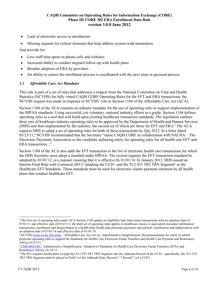- Lack of electronic access to enrollments
- Missing requests for critical elements that help address system-wide automation

And provide for:

- Less staff time spent on phone calls and websites
- Increased ability to conduct targeted follow-up with health plans
- Broader adoption of ERA by providers
- An ability to ensure the enrollment process is coordinated with the next steps in payment process

## <span id="page-3-0"></span>*1.1 Affordable Care Act Mandates*

This rule is part of a set of rules that addresses a request from the National Committee on Vital and Health Statistics (NCVHS) for fully vetted CAQH CORE Operating Rules for the EFT and ERA transactions; the NCVHS request was made in response to NCVHS' role in Section 1104 of the Affordable Care Act (ACA).

Section 1104 of the ACA contains an industry mandate for the use of operating rules to support implementation of the HIPAA standards. Using successful, yet voluntary, national industry efforts as a guide, Section 1104 defines operating rules as a tool that will build upon existing healthcare transaction standards. The legislation outlines three sets of healthcare industry operating rules to be approved by the Department of Health and Human Services (HHS) and then implemented by the industry, the second set of which are those for EFT and ERA.<sup>3</sup> The ACA requires HHS to adopt a set of operating rules for both of these transactions by July 2012. In a letter dated  $03/23/11$ ,<sup>4</sup> NCVHS recommended that the Secretary "name CAOH CORE in collaboration with NACHA – The Electronic Payments Association as the candidate authoring entity for operating rules for all health care EFT and ERA transactions..."

Section 1104 of the ACA also adds the EFT transaction to the list of electronic health care transactions for which the HHS Secretary must adopt a standard under HIPAA. The section requires the EFT transaction standard be adopted by 01/01/12, in a manner ensuring that it is effective by 01/01/14. In January 2012, HHS issued an Interim Final Rule with Comment  $(IFC)^5$  adopting the CCD+ and the X12 835 TR3 TRN Segment<sup>6</sup> as the Healthcare EFT Standards. These standards must be used for electronic claims payment initiation by all health plans that conduct healthcare EFT.

<sup>&</sup>lt;sup>3</sup> The first set of operating rules under ACA Section 1104 applies to eligibility and claim status transactions with an adoption date of  $07/01/11$  and effective date of  $01/01/13$ ; the third set of operating rules applies to healthcare claims or equivalent encounter information transactions, enrollment and disenrollment in a health plan, health plan premium payments and referral, certification and authorization with an adoption date of 07/01/14 and effective date of 01/01/16.

<sup>&</sup>lt;sup>4</sup> NCVH[S Letter to the Secretary](http://www.ncvhs.hhs.gov/110323lt.pdf) - Affordable Care Act (ACA), Administrative Simplification: Recommendation for entity to submit proposed operating rules to support the Standards for Health Care Electronic Funds Transfers and Health Care Payment and Remittance Advice 03/23/11.

[<sup>5</sup> CMS-0024-IFC: A](http://www.gpo.gov/fdsys/pkg/FR-2012-01-10/pdf/2012-132.pdf)dministrative Simplification: Adoption of Standards for Health Care Electronic Funds Transfers (EFTs) and Remittance Advice, 01/10/12.

<sup>6</sup> The IFC requires health plans to input the X12 835 TR3 TRN Segment into the Addenda Record of the CCD+; specifically, the X12 835 TR3 TRN Segment must be placed in Field 3 of the Addenda Entry Record (''7 Record'') of a CCD+.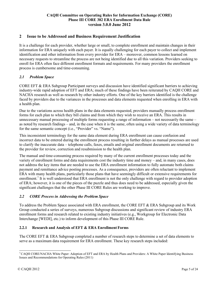# <span id="page-4-0"></span>**2 Issue to be Addressed and Business Requirement Justification**

It is a challenge for each provider, whether large or small, to complete enrollment and maintain changes in their information for ERA uniquely with each payer. It is equally challenging for each payer to collect and implement identification and other information from every provider for ERA – moreover, common lessons learned on necessary requests to streamline the process are not being identified due to all this variation. Providers seeking to enroll for ERA often face different enrollment formats and requirements. For many providers the enrollment process is cumbersome and time-consuming.

## <span id="page-4-1"></span>*2.1 Problem Space*

CORE EFT & ERA Subgroup Participant surveys and discussion have identified significant barriers to achieving industry-wide rapid adoption of EFT and ERA; much of these findings have been reiterated by CAQH CORE and NACHA research as well as research by other industry efforts. One of the key barriers identified is the challenge faced by providers due to the variances in the processes and data elements requested when enrolling in ERA with a health plan.

Due to the variations across health plans in the data elements requested, providers manually process enrollment forms for each plan to which they bill claims and from which they wish to receive an ERA. This results in unnecessary manual processing of multiple forms requesting a range of information – not necessarily the same – as noted by research findings – and, in the case when it is the same, often using a wide variety of data terminology for the same semantic concept (i.e., "Provider" vs. "Name").

This inconsistent terminology for the same data element during ERA enrollment can cause confusion and incorrect data to be entered during the enrollment process resulting in further delays as manual processes are used to clarify the inaccurate data – telephone calls, faxes, emails and original enrollment documents are returned to the provider for review, correction and resubmission to the health plan.

The manual and time-consuming process required by many of the current enrollment processes today and the variety of enrollment forms and data requirements cost the industry time and money – and, in many cases, does not address the key items that are needed to use the ERA enrollment information to fully automate both claims payment and remittance advice posting processes. As a consequence, providers are often reluctant to implement ERA with many health plans, particularly those plans that have seemingly difficult or extensive requirements for enrollment.7 It is well understood that ERA enrollment is not the only challenge with regard to provider adoption of ERA; however, it is one of the pieces of the puzzle and thus does need to be addressed, especially given the significant challenges that the other Phase III CORE Rules are working to improve.

### <span id="page-4-2"></span>*2.2 CORE Process in Addressing the Problem Space*

To address the Problem Space associated with ERA enrollment, the CORE EFT & ERA Subgroup and its Work Group conducted a series of surveys, numerous Subgroup discussions and significant review of industry ERA enrollment forms and research related to existing industry initiatives (e.g., Workgroup for Electronic Data Interchange [WEDI], etc.) to inform development of this Phase III CORE Rule.

### <span id="page-4-3"></span>**2.2.1 Research and Analysis of EFT & ERA Enrollment Forms**

The CORE EFT & ERA Subgroup completed a number of research steps to determine a set of data elements to serve as a maximum data requirement for ERA enrollment. These key research steps included:

<sup>7</sup> CAQH CORE/NACHA White Paper: Adoption of EFT and ERA by Health Plans and Providers: A White Paper Identifying Business Issues and Recommendations for Operating Rules (2011)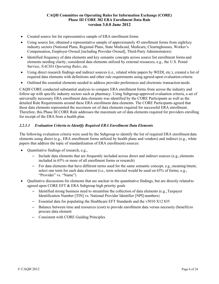- Created source list for representative sample of ERA enrollment forms
- Using source list, obtained a representative sample of approximately 45 enrollment forms from eight key industry sectors (National Plans, Regional Plans, State Medicaid, Medicare, Clearinghouses, Worker's Compensation, Employer Owned [including Provider Owned], Third-Party Administrators)
- Identified frequency of data elements and key semantic concepts across source list enrollment forms and elements needing clarity; considered data elements utilized by external resources, e.g., the U.S. Postal Service, *NACHA Operating Rules*, etc.
- Using direct research findings and indirect sources (i.e., related white papers by WEDI, etc.), created a list of required data elements with definitions and other rule requirements using agreed-upon evaluation criteria
- Outlined the essential elements needed to address provider preferences and electronic transaction needs

CAQH CORE conducted substantial analysis to compare ERA enrollment forms from across the industry and follow-up with specific industry sectors such as pharmacy. Using Subgroup-approved evaluation criteria, a set of universally necessary ERA enrollment data elements was identified by the CORE Participants as well as the detailed Rule Requirements around these ERA enrollment data elements. The CORE Participants agreed that these data elements represented the *maximum* set of data elements required for successful ERA enrollment. Therefore, this Phase III CORE Rule addresses the maximum set of data elements required for providers enrolling for receipt of the ERA from a health plan.

# *2.2.1.1 Evaluation Criteria to Identify Required ERA Enrollment Data Elements*

The following evaluation criteria were used by the Subgroup to identify the list of required ERA enrollment data elements using direct (e.g., ERA enrollment forms utilized by health plans and vendors) and indirect (e.g., white papers that address the topic of standardization of ERA enrollment) sources:

- Quantitative findings of research, e.g.,
	- Include data elements that are frequently included across direct and indirect sources (e.g., elements included in 65% or more of all enrollment forms or research)
	- For data elements that have different terms used for the same semantic concept, e.g., meaning/intent, select one term for each data element (i.e., term selected would be used on 65% of forms; e.g., "Provider" vs. "Name")
- Qualitative discussions for elements that are unclear in the quantitative findings, but are directly relatedto agreed upon CORE EFT & ERA Subgroup high priority goals
	- Identified strong business need to streamline the collection of data elements (e.g.,Taxpayer Identification Number [TIN] vs. National Provider Identifier [NPI] numbers)
	- Essential data for populating the Healthcare EFT Standards and the v5010 X12 835
	- Balance between time and resources (cost) to provide enrollment data versus necessity (benefit)to procure data element
	- Consistent with CORE Guiding Principles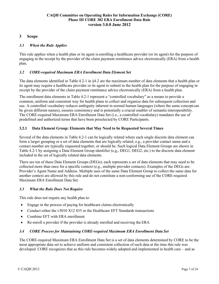# <span id="page-6-0"></span>**3 Scope**

### <span id="page-6-1"></span>*3.1 When the Rule Applies*

This rule applies when a health plan or its agent is enrolling a healthcare provider (or its agent) for the purpose of engaging in the receipt by the provider of the claim payment remittance advice electronically (ERA) from a health plan.

### <span id="page-6-2"></span>*3.2 CORE-required Maximum ERA Enrollment Data Element Set*

The data elements identified in Table 4.2-1 in §4.2 are the maximum number of data elements that a health plan or its agent may require a healthcare provider or its agent to submit to the health plan for the purpose of engaging in receipt by the provider of the claim payment remittance advice electronically (ERA) from a health plan.

The enrollment data elements in Table 4.2-1 represent a "controlled vocabulary" as a means to provide a common, uniform and consistent way for health plans to collect and organize data for subsequent collection and use. A controlled vocabulary reduces ambiguity inherent in normal human languages (where the same concept can be given different names), ensures consistency and is potentially a crucial enabler of semantic interoperability. The CORE-required Maximum ERA Enrollment Data Set (i.e., a controlled vocabulary) mandates the use of predefined and authorized terms that have been preselected by CORE Participants.

## <span id="page-6-3"></span>**3.2.1 Data Element Group: Elements that May Need to be Requested Several Times**

Several of the data elements in Table 4.2-1 can be logically related where each single discrete data element can form a larger grouping or a set of data elements that are logically related, e.g., a provider contact name and a contact number are typically requested together, or should be. Such logical Data Element Groups are shown in Table 4.2-1 by assigning a Data Element Group identifier (e.g., DEG1, DEG2, etc.) to the discrete data element included in the set of logically related data elements.

There are ten of these Data Element Groups (DEGs); each represents a set of data elements that may need to be collected more than once for a specific context (e.g., multiple provider contacts). Examples of the DEGs are: Provider's Agent Name and Address. Multiple uses of the same Data Element Group to collect the same data for another context are allowed by this rule and do not constitute a non-conforming use of the CORE-required Maximum ERA Enrollment Data Set.

### <span id="page-6-4"></span>*3.3 What the Rule Does Not Require*

This rule does not require any health plan to:

- Engage in the process of paying for healthcare claims electronically
- Conduct either the v5010 X12 835 or the Healthcare EFT Standards transactions
- Combine EFT with ERA enrollment
- Re-enroll a provider if the provider is already enrolled and receiving the ERA

#### <span id="page-6-5"></span>*3.4 CORE Process for Maintaining CORE-required Maximum ERA Enrollment Data Set*

The CORE-required Maximum ERA Enrollment Data Set is a set of data elements determined by CORE to be the most appropriate data set to achieve uniform and consistent collection of such data at the time this rule was developed. CORE recognizes that as this rule becomes widely adopted and implemented in health care – and as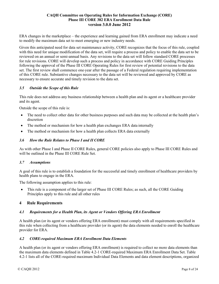ERA changes in the marketplace – the experience and learning gained from ERA enrollment may indicate a need to modify the maximum data set to meet emerging or new industry needs.

Given this anticipated need for data set maintenance activity, CORE recognizes that the focus of this rule, coupled with this need for unique modification of the data set, will require a process and policy to enable the data set to be reviewed on an annual or semi-annual basis. Any revisions to the data set will follow standard CORE processes for rule revisions. CORE will develop such a process and policy in accordance with CORE Guiding Principles following the approval of the Phase III CORE Operating Rules for first review of potential revisions to the data set. The first review shall commence one year after the passage of a Federal regulation requiring implementation of this CORE rule. Substantive changes necessary to the data set will be reviewed and approved by CORE as necessary to ensure accurate and timely revision to the data set.

## <span id="page-7-0"></span>*3.5 Outside the Scope of this Rule*

This rule does not address any business relationship between a health plan and its agent or a healthcare provider and its agent.

Outside the scope of this rule is:

- The need to collect other data for other business purposes and such data may be collected at the health plan's discretion
- The method or mechanism for how a health plan exchanges ERA data internally
- The method or mechanism for how a health plan collects ERA data externally

## <span id="page-7-1"></span>*3.6 How the Rule Relates to Phase I and II CORE*

As with other Phase I and Phase II CORE Rules, general CORE policies also apply to Phase III CORE Rules and will be outlined in the Phase III CORE Rule Set.

### <span id="page-7-2"></span>*3.7 Assumptions*

A goal of this rule is to establish a foundation for the successful and timely enrollment of healthcare providers by health plans to engage in the ERA.

The following assumption applies to this rule:

• This rule is a component of the larger set of Phase III CORE Rules; as such, all the CORE Guiding Principles apply to this rule and all other rules

### <span id="page-7-3"></span>**4 Rule Requirements**

# <span id="page-7-4"></span>*4.1 Requirements for a Health Plan, its Agent or Vendors Offering ERA Enrollment*

A health plan (or its agent or vendors offering ERA enrollment) must comply with all requirements specified in this rule when collecting from a healthcare provider (or its agent) the data elements needed to enroll the healthcare provider for ERA.

# <span id="page-7-5"></span>*4.2 CORE-required Maximum ERA Enrollment Data Elements*

A health plan (or its agent or vendors offering ERA enrollment) is required to collect no more data elements than the maximum data elements defined in Table 4.2-1 CORE-required Maximum ERA Enrollment Data Set. Table 4.2-1 lists all of the CORE-required maximum Individual Data Elements and data element descriptions, organized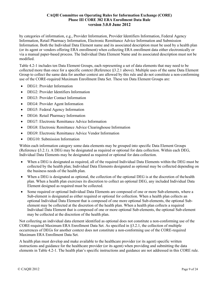by categories of information, e.g., Provider Information, Provider Identifiers Information, Federal Agency Information, Retail Pharmacy Information, Electronic Remittance Advice Information and Submission Information. Both the Individual Data Element name and its associated description must be used by a health plan (or its agent or vendors offering ERA enrollment) when collecting ERA enrollment data either electronically or via a manual paper-based process. The Individual Data Element Name and its associated description must not be modified.

Table 4.2-1 includes ten Data Element Groups, each representing a set of data elements that may need to be collected more than once for a specific context (Reference §3.2.1 above). Multiple uses of the same Data Element Group to collect the same data for another context are allowed by this rule and do not constitute a non-conforming use of the CORE-required Maximum Enrollment Data Set. These ten Data Element Groups are:

- DEG1: Provider Information
- DEG2: Provider Identifiers Information
- DEG3: Provider Contact Information
- DEG4: Provider Agent Information
- DEG5: Federal Agency Information
- DEG6: Retail Pharmacy Information
- DEG7: Electronic Remittance Advice Information
- DEG8: Electronic Remittance Advice Clearinghouse Information
- DEG9: Electronic Remittance Advice Vendor Information
- DEG10: Submission Information

Within each information category some data elements may be grouped into specific Data Element Groups (Reference §3.2.1). A DEG may be designated as required or optional for data collection. Within each DEG, Individual Data Elements may be designated as required or optional for data collection.

- When a DEG is designated as required, all of the required Individual Data Elements within the DEG must be collected by the health plan; Individual Data Elements designated as optional may be collected depending on the business needs of the health plan.
- When a DEG is designated as optional, the collection of the optional DEG is at the discretion of the health plan. When a health plan exercises its discretion to collect an optional DEG, any included Individual Data Element designed as required must be collected.
- Some required or optional Individual Data Elements are composed of one or more Sub-elements, where a Sub-element is designated as either required or optional for collection. When a health plan collects an optional Individual Data Element that is composed of one more optional Sub-elements, the optional Subelement may be collected at the discretion of the health plan. When a health plan collects a required Individual Data Element that is composed of one or more optional Sub-elements, the optional Sub-element may be collected at the discretion of the health plan.

Not collecting an individual data element identified as optional does not constitute a non-conforming use of the CORE-required Maximum ERA Enrollment Data Set. As specified in §3.2.1, the collection of multiple occurrences of DEGs for another context does not constitute a non-conforming use of the CORE-required Maximum ERA Enrollment Data Set.

A health plan must develop and make available to the healthcare provider (or its agent) specific written instructions and guidance for the healthcare provider (or its agent) when providing and submitting the data elements in Table 4.2-1. The health plan's specific instructions and guidance are not addressed in this CORE rule.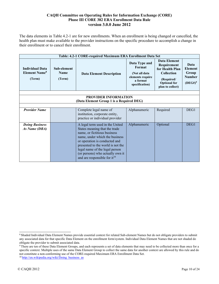The data elements in Table 4.2-1 are for new enrollments. When an enrollment is being changed or cancelled, the health plan must make available to the provider instructions on the specific procedure to accomplish a change in their enrollment or to cancel their enrollment.

|                                                                     |                                      | Table: 4.2-1 CORE-required Maximum ERA Enrollment Data Set                                                                                                                                                                                                                                                                 |                                                                                            |                                                                                                                              |                                                                |
|---------------------------------------------------------------------|--------------------------------------|----------------------------------------------------------------------------------------------------------------------------------------------------------------------------------------------------------------------------------------------------------------------------------------------------------------------------|--------------------------------------------------------------------------------------------|------------------------------------------------------------------------------------------------------------------------------|----------------------------------------------------------------|
| <b>Individual Data</b><br><b>Element Name<sup>8</sup></b><br>(Term) | Sub-element<br><b>Name</b><br>(Term) | <b>Data Element Description</b>                                                                                                                                                                                                                                                                                            | Data Type and<br>Format<br>(Not all data<br>elements require<br>a format<br>specification) | Data Element<br>Requirement<br>for Health Plan<br><b>Collection</b><br>(Required/<br><b>Optional</b> for<br>plan to collect) | Data<br><b>Element</b><br>Group<br><b>Number</b><br>$(DEG#)^9$ |
|                                                                     |                                      |                                                                                                                                                                                                                                                                                                                            |                                                                                            |                                                                                                                              |                                                                |
|                                                                     |                                      | <b>PROVIDER INFORMATION</b><br>(Data Element Group 1 is a Required DEG)                                                                                                                                                                                                                                                    |                                                                                            |                                                                                                                              |                                                                |
|                                                                     |                                      |                                                                                                                                                                                                                                                                                                                            |                                                                                            |                                                                                                                              |                                                                |
| <b>Provider Name</b>                                                |                                      | Complete legal name of<br>institution, corporate entity,<br>practice or individual provider                                                                                                                                                                                                                                | Alphanumeric                                                                               | Required                                                                                                                     | DEG1                                                           |
| <b>Doing Business</b><br>As Name (DBA)                              |                                      | A legal term used in the United<br>States meaning that the trade<br>name, or fictitious business<br>name, under which the business<br>or operation is conducted and<br>presented to the world is not the<br>legal name of the legal person<br>(or persons) who actually own it<br>and are responsible for it <sup>10</sup> | Alphanumeric                                                                               | Optional                                                                                                                     | DEG1                                                           |

<sup>8</sup> Shaded Individual Data Element Names provide essential context for related Sub-element Names but do not obligate providers to submit any associated data for that specific Data Element on the enrollment form/system. Individual Data Element Names that are not shaded do obligate the provider to submit associated data.

<sup>&</sup>lt;sup>9</sup> There are ten of these Data Element Groups, and each represents a set of data elements that may need to be collected more than once for a specific context. Multiple uses of the same Data Element Group to collect the same data for another context are allowed by this rule and do not constitute a non-conforming use of the CORE-required Maximum ERA Enrollment Data Set.

<sup>&</sup>lt;sup>10</sup> http://en.wikipedia.org/wiki/Doing\_business\_as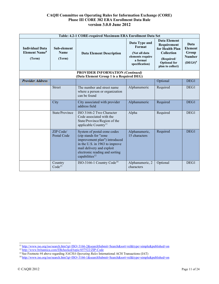|                                                                     |                                      | Table: 4.2-1 CORE-required Maximum ERA Enrollment Data Set                                                                                                                                                           |                                                                                            |                                                                                                                                     |                                                                |
|---------------------------------------------------------------------|--------------------------------------|----------------------------------------------------------------------------------------------------------------------------------------------------------------------------------------------------------------------|--------------------------------------------------------------------------------------------|-------------------------------------------------------------------------------------------------------------------------------------|----------------------------------------------------------------|
| <b>Individual Data</b><br><b>Element Name<sup>8</sup></b><br>(Term) | Sub-element<br><b>Name</b><br>(Term) | <b>Data Element Description</b>                                                                                                                                                                                      | Data Type and<br>Format<br>(Not all data<br>elements require<br>a format<br>specification) | <b>Data Element</b><br>Requirement<br>for Health Plan<br><b>Collection</b><br>(Required/<br><b>Optional</b> for<br>plan to collect) | Data<br><b>Element</b><br>Group<br><b>Number</b><br>$(DEG#)^9$ |
|                                                                     |                                      | <b>PROVIDER INFORMATION (Continued)</b><br>(Data Element Group 1 is a Required DEG)                                                                                                                                  |                                                                                            |                                                                                                                                     |                                                                |
| <b>Provider Address</b>                                             |                                      |                                                                                                                                                                                                                      |                                                                                            | Optional                                                                                                                            | DEG1                                                           |
|                                                                     | <b>Street</b>                        | The number and street name<br>where a person or organization<br>can be found                                                                                                                                         | Alphanumeric                                                                               | Required                                                                                                                            | DEG1                                                           |
|                                                                     | City                                 | City associated with provider<br>address field                                                                                                                                                                       | Alphanumeric                                                                               | Required                                                                                                                            | DEG1                                                           |
|                                                                     | State/Province                       | ISO 3166-2 Two Character<br>Code associated with the<br>State/Province/Region of the<br>applicable Country <sup>11</sup>                                                                                             | Alpha                                                                                      | Required                                                                                                                            | DEG1                                                           |
|                                                                     | ZIP Code/<br>Postal Code             | System of postal-zone codes<br>(zip stands for "zone<br>improvement plan") introduced<br>in the U.S. in 1963 to improve<br>mail delivery and exploit<br>electronic reading and sorting<br>capabilities <sup>12</sup> | Alphanumeric,<br>15 characters                                                             | Required                                                                                                                            | DEG1                                                           |
|                                                                     | Country<br>Code <sup>13</sup>        | ISO-3166-1 Country Code <sup>14</sup>                                                                                                                                                                                | Alphanumeric, 2<br>characters                                                              | Optional                                                                                                                            | DEG1                                                           |

<sup>1</sup>[1 http://www.iso.org/iso/search.htm?qt=ISO+3166-2&searchSubmit=Search&sort=rel&type=simple&published=on](http://www.iso.org/iso/search.htm?qt=ISO%2B3166-2&searchSubmit=Search&sort=rel&type=simple&published=on)

<sup>&</sup>lt;sup>12</sup> http://www.britannica.com/EBchecked/topic/657522/ZIP-Code

<sup>13</sup> See Footnote #4 above regarding *NACHA Operating Rules* International ACH Transactions (IAT)

<sup>1</sup>[4 http://www.iso.org/iso/search.htm?qt=ISO+3166-1&searchSubmit=Search&sort=rel&type=simple&published=on](http://www.iso.org/iso/search.htm?qt=ISO%2B3166-1&searchSubmit=Search&sort=rel&type=simple&published=on)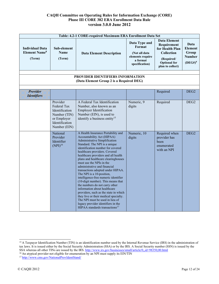|                                                                     |                                                                                                            | Table: 4.2-1 CORE-required Maximum ERA Enrollment Data Set                                                                                                                                                                                                                                                                                                                                                                                                                                                                                                                                                                                                                                                                                                                    |                                                                                            |                                                                                                                                     |                                                                |
|---------------------------------------------------------------------|------------------------------------------------------------------------------------------------------------|-------------------------------------------------------------------------------------------------------------------------------------------------------------------------------------------------------------------------------------------------------------------------------------------------------------------------------------------------------------------------------------------------------------------------------------------------------------------------------------------------------------------------------------------------------------------------------------------------------------------------------------------------------------------------------------------------------------------------------------------------------------------------------|--------------------------------------------------------------------------------------------|-------------------------------------------------------------------------------------------------------------------------------------|----------------------------------------------------------------|
| <b>Individual Data</b><br><b>Element Name<sup>8</sup></b><br>(Term) | Sub-element<br><b>Name</b><br>(Term)                                                                       | <b>Data Element Description</b>                                                                                                                                                                                                                                                                                                                                                                                                                                                                                                                                                                                                                                                                                                                                               | Data Type and<br>Format<br>(Not all data<br>elements require<br>a format<br>specification) | <b>Data Element</b><br>Requirement<br>for Health Plan<br><b>Collection</b><br>(Required/<br><b>Optional</b> for<br>plan to collect) | Data<br><b>Element</b><br>Group<br><b>Number</b><br>$(DEG#)^9$ |
|                                                                     |                                                                                                            | PROVIDER IDENTIFIERS INFORMATION<br>(Data Element Group 2 is a Required DEG)                                                                                                                                                                                                                                                                                                                                                                                                                                                                                                                                                                                                                                                                                                  |                                                                                            |                                                                                                                                     |                                                                |
|                                                                     |                                                                                                            |                                                                                                                                                                                                                                                                                                                                                                                                                                                                                                                                                                                                                                                                                                                                                                               |                                                                                            |                                                                                                                                     |                                                                |
| Provider<br><b>Identifiers</b>                                      |                                                                                                            |                                                                                                                                                                                                                                                                                                                                                                                                                                                                                                                                                                                                                                                                                                                                                                               |                                                                                            | Required                                                                                                                            | DEG <sub>2</sub>                                               |
|                                                                     | Provider<br>Federal Tax<br>Identification<br>Number (TIN)<br>or Employer<br>Identification<br>Number (EIN) | A Federal Tax Identification<br>Number, also known as an<br><b>Employer Identification</b><br>Number (EIN), is used to<br>identify a business entity <sup>15</sup>                                                                                                                                                                                                                                                                                                                                                                                                                                                                                                                                                                                                            | Numeric, 9<br>digits                                                                       | Required                                                                                                                            | DEG <sub>2</sub>                                               |
|                                                                     | National<br>Provider<br>Identifier<br>(NPI) <sup>16</sup>                                                  | A Health Insurance Portability and<br>Accountability Act (HIPAA)<br>Administrative Simplification<br>Standard. The NPI is a unique<br>identification number for covered<br>healthcare providers. Covered<br>healthcare providers and all health<br>plans and healthcare clearinghouses<br>must use the NPIs in the<br>administrative and financial<br>transactions adopted under HIPAA.<br>The NPI is a 10-position,<br>intelligence-free numeric identifier<br>(10-digit number). This means that<br>the numbers do not carry other<br>information about healthcare<br>providers, such as the state in which<br>they live or their medical specialty.<br>The NPI must be used in lieu of<br>legacy provider identifiers in the<br>HIPAA standards transactions <sup>17</sup> | Numeric, 10<br>digits                                                                      | Required when<br>provider has<br>been<br>enumerated<br>with an NPI                                                                  | DEG <sub>2</sub>                                               |

<sup>&</sup>lt;sup>15</sup> A Taxpayer Identification Number (TIN) is an identification number used by the Internal Revenue Service (IRS) in the administration of tax laws. It is issued either by the Social Security Administration (SSA) or by the IRS. A Social Security number (SSN) is issued by the SSA whereas all other TINs are issued by the IRS[. http://www.irs.gov/businesses/small/article/0,,id=98350,00.html](http://www.irs.gov/businesses/small/article/0%2C%2Cid%3D98350%2C00.html)

<sup>&</sup>lt;sup>16</sup> An atypical provider not eligible for enumeration by an NPI must supply its EIN/TIN

<sup>&</sup>lt;sup>17</sup> http://www.cms.gov/NationalProvIdentStand/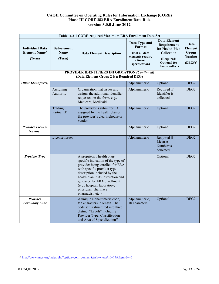|                                                                     |                                      | Table: 4.2-1 CORE-required Maximum ERA Enrollment Data Set                                                                                                                                                                                                                                                          |                                                                                            |                                                                                                                              |                                                                |
|---------------------------------------------------------------------|--------------------------------------|---------------------------------------------------------------------------------------------------------------------------------------------------------------------------------------------------------------------------------------------------------------------------------------------------------------------|--------------------------------------------------------------------------------------------|------------------------------------------------------------------------------------------------------------------------------|----------------------------------------------------------------|
| <b>Individual Data</b><br><b>Element Name<sup>8</sup></b><br>(Term) | Sub-element<br><b>Name</b><br>(Term) | <b>Data Element Description</b>                                                                                                                                                                                                                                                                                     | Data Type and<br>Format<br>(Not all data<br>elements require<br>a format<br>specification) | <b>Data Element</b><br>Requirement<br>for Health Plan<br>Collection<br>(Required/<br><b>Optional</b> for<br>plan to collect) | Data<br><b>Element</b><br>Group<br><b>Number</b><br>$(DEG#)^9$ |
|                                                                     |                                      | <b>PROVIDER IDENTIFIERS INFORMATION (Continued)</b><br>(Data Element Group 2 is a Required DEG)                                                                                                                                                                                                                     |                                                                                            |                                                                                                                              |                                                                |
| Other Identifier(s)                                                 |                                      |                                                                                                                                                                                                                                                                                                                     | Alphanumeric                                                                               | Optional                                                                                                                     | DEG <sub>2</sub>                                               |
|                                                                     | Assigning<br>Authority               | Organization that issues and<br>assigns the additional identifier<br>requested on the form, e.g.,<br>Medicare, Medicaid                                                                                                                                                                                             | Alphanumeric                                                                               | Required if<br>Identifier is<br>collected                                                                                    | DEG <sub>2</sub>                                               |
|                                                                     | Trading<br>Partner ID                | The provider's submitter ID<br>assigned by the health plan or<br>the provider's clearinghouse or<br>vendor                                                                                                                                                                                                          | Alphanumeric                                                                               | Optional                                                                                                                     | DEG <sub>2</sub>                                               |
| <b>Provider License</b><br><b>Number</b>                            |                                      |                                                                                                                                                                                                                                                                                                                     | Alphanumeric                                                                               | Optional                                                                                                                     | DEG <sub>2</sub>                                               |
|                                                                     | License Issuer                       |                                                                                                                                                                                                                                                                                                                     | Alphanumeric                                                                               | Required if<br>License<br>Number is<br>collected                                                                             | DEG <sub>2</sub>                                               |
| <b>Provider Type</b>                                                |                                      | A proprietary health plan-<br>specific indication of the type of<br>provider being enrolled for ERA<br>with specific provider type<br>description included by the<br>health plan in its instruction and<br>guidance for ERA enrollment<br>(e.g., hospital, laboratory,<br>physician, pharmacy,<br>pharmacist, etc.) |                                                                                            | Optional                                                                                                                     | DEG <sub>2</sub>                                               |
| Provider<br><b>Taxonomy Code</b>                                    |                                      | A unique alphanumeric code,<br>ten characters in length. The<br>code set is structured into three<br>distinct "Levels" including<br>Provider Type, Classification<br>and Area of Specialization <sup>18</sup>                                                                                                       | Alphanumeric,<br>10 characters                                                             | Optional                                                                                                                     | DEG <sub>2</sub>                                               |

<sup>1</sup>[8 http://www.nucc.org/index.php?option=com\\_content&task=view&id=14&Itemid=40](http://www.nucc.org/index.php?option=com_content&task=view&id=14&Itemid=40)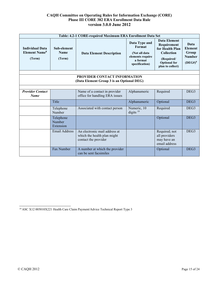|                                                                     |                                      | Table: 4.2-1 CORE-required Maximum ERA Enrollment Data Set                           |                                                                                            |                                                                                                                                     |                                                                |
|---------------------------------------------------------------------|--------------------------------------|--------------------------------------------------------------------------------------|--------------------------------------------------------------------------------------------|-------------------------------------------------------------------------------------------------------------------------------------|----------------------------------------------------------------|
| <b>Individual Data</b><br><b>Element Name<sup>8</sup></b><br>(Term) | Sub-element<br><b>Name</b><br>(Term) | <b>Data Element Description</b>                                                      | Data Type and<br>Format<br>(Not all data<br>elements require<br>a format<br>specification) | <b>Data Element</b><br>Requirement<br>for Health Plan<br><b>Collection</b><br>(Required/<br><b>Optional</b> for<br>plan to collect) | Data<br><b>Element</b><br>Group<br><b>Number</b><br>$(DEG#)^9$ |
|                                                                     |                                      |                                                                                      |                                                                                            |                                                                                                                                     |                                                                |
|                                                                     |                                      | <b>PROVIDER CONTACT INFORMATION</b><br>(Data Element Group 3 is an Optional DEG)     |                                                                                            |                                                                                                                                     |                                                                |
|                                                                     |                                      |                                                                                      |                                                                                            |                                                                                                                                     |                                                                |
| <b>Provider Contact</b><br><b>Name</b>                              |                                      | Name of a contact in provider<br>office for handling ERA issues                      | Alphanumeric                                                                               | Required                                                                                                                            | DEG3                                                           |
|                                                                     | Title                                |                                                                                      | Alphanumeric                                                                               | Optional                                                                                                                            | DEG <sub>3</sub>                                               |
|                                                                     | Telephone<br>Number                  | Associated with contact person                                                       | Numeric, 10<br>digits $19$                                                                 | Required                                                                                                                            | DEG3                                                           |
|                                                                     | Telephone<br>Number<br>Extension     |                                                                                      |                                                                                            | Optional                                                                                                                            | DEG <sub>3</sub>                                               |
|                                                                     | <b>Email Address</b>                 | An electronic mail address at<br>which the health plan might<br>contact the provider |                                                                                            | Required; not<br>all providers<br>may have an<br>email address                                                                      | DEG <sub>3</sub>                                               |
|                                                                     | Fax Number                           | A number at which the provider<br>can be sent facsimiles                             |                                                                                            | Optional                                                                                                                            | DEG <sub>3</sub>                                               |

<sup>19</sup> ASC X12 005010X221 Health Care Claim Payment/Advice Technical Report Type 3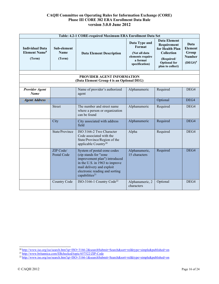|                                                                     |                                      | Table: 4.2-1 CORE-required Maximum ERA Enrollment Data Set                                                                                                                                                           |                                                                                            |                                                                                                                                     |                                                                |
|---------------------------------------------------------------------|--------------------------------------|----------------------------------------------------------------------------------------------------------------------------------------------------------------------------------------------------------------------|--------------------------------------------------------------------------------------------|-------------------------------------------------------------------------------------------------------------------------------------|----------------------------------------------------------------|
| <b>Individual Data</b><br><b>Element Name<sup>8</sup></b><br>(Term) | Sub-element<br><b>Name</b><br>(Term) | <b>Data Element Description</b>                                                                                                                                                                                      | Data Type and<br>Format<br>(Not all data<br>elements require<br>a format<br>specification) | <b>Data Element</b><br>Requirement<br>for Health Plan<br><b>Collection</b><br>(Required/<br><b>Optional</b> for<br>plan to collect) | Data<br><b>Element</b><br>Group<br><b>Number</b><br>$(DEG#)^9$ |
|                                                                     |                                      | PROVIDER AGENT INFORMATION                                                                                                                                                                                           |                                                                                            |                                                                                                                                     |                                                                |
|                                                                     |                                      | (Data Element Group 4 is an Optional DEG)                                                                                                                                                                            |                                                                                            |                                                                                                                                     |                                                                |
|                                                                     |                                      |                                                                                                                                                                                                                      |                                                                                            |                                                                                                                                     |                                                                |
| <b>Provider Agent</b><br>Name                                       |                                      | Name of provider's authorized<br>agent                                                                                                                                                                               | Alphanumeric                                                                               | Required                                                                                                                            | DEG4                                                           |
| <b>Agent Address</b>                                                |                                      |                                                                                                                                                                                                                      |                                                                                            | Optional                                                                                                                            | DEG4                                                           |
|                                                                     | <b>Street</b>                        | The number and street name<br>where a person or organization<br>can be found                                                                                                                                         | Alphanumeric                                                                               | Required                                                                                                                            | DEG4                                                           |
|                                                                     | City                                 | City associated with address<br>field                                                                                                                                                                                | Alphanumeric                                                                               | Required                                                                                                                            | DEG4                                                           |
|                                                                     | State/Province                       | ISO 3166-2 Two Character<br>Code associated with the<br>State/Province/Region of the<br>applicable Country <sup>20</sup>                                                                                             | Alpha                                                                                      | Required                                                                                                                            | DEG4                                                           |
|                                                                     | ZIP Code/<br>Postal Code             | System of postal-zone codes<br>(zip stands for "zone<br>improvement plan") introduced<br>in the U.S. in 1963 to improve<br>mail delivery and exploit<br>electronic reading and sorting<br>capabilities <sup>21</sup> | Alphanumeric,<br>15 characters                                                             | Required                                                                                                                            | DEG4                                                           |
|                                                                     | Country Code                         | ISO-3166-1 Country Code <sup>22</sup>                                                                                                                                                                                | Alphanumeric, 2<br>characters                                                              | Optional                                                                                                                            | DEG4                                                           |

<sup>2</sup>[0 http://www.iso.org/iso/search.htm?qt=ISO+3166-2&searchSubmit=Search&sort=rel&type=simple&published=on](http://www.iso.org/iso/search.htm?qt=ISO%2B3166-2&searchSubmit=Search&sort=rel&type=simple&published=on)

<sup>&</sup>lt;sup>21</sup> http://www.britannica.com/EBchecked/topic/657522/ZIP-Code

<sup>2</sup>[2 http://www.iso.org/iso/search.htm?qt=ISO+3166-1&searchSubmit=Search&sort=rel&type=simple&published=on](http://www.iso.org/iso/search.htm?qt=ISO%2B3166-1&searchSubmit=Search&sort=rel&type=simple&published=on)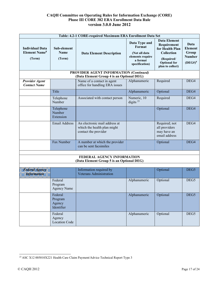|                                                                     | Table: 4.2-1 CORE-required Maximum ERA Enrollment Data Set |                                                                                            |                                                                                            |                                                                                                                                     |                                                                |  |
|---------------------------------------------------------------------|------------------------------------------------------------|--------------------------------------------------------------------------------------------|--------------------------------------------------------------------------------------------|-------------------------------------------------------------------------------------------------------------------------------------|----------------------------------------------------------------|--|
| <b>Individual Data</b><br><b>Element Name<sup>8</sup></b><br>(Term) | Sub-element<br><b>Name</b><br>(Term)                       | <b>Data Element Description</b>                                                            | Data Type and<br>Format<br>(Not all data<br>elements require<br>a format<br>specification) | <b>Data Element</b><br>Requirement<br>for Health Plan<br><b>Collection</b><br>(Required/<br><b>Optional</b> for<br>plan to collect) | Data<br><b>Element</b><br>Group<br><b>Number</b><br>$(DEG#)^9$ |  |
|                                                                     |                                                            | <b>PROVIDER AGENT INFORMATION (Continued)</b><br>(Data Element Group 4 is an Optional DEG) |                                                                                            |                                                                                                                                     |                                                                |  |
| <b>Provider Agent</b><br><b>Contact Name</b>                        |                                                            | Name of a contact in agent<br>office for handling ERA issues                               | Alphanumeric                                                                               | Required                                                                                                                            | DEG4                                                           |  |
|                                                                     | Title                                                      |                                                                                            | Alphanumeric                                                                               | Optional                                                                                                                            | DEG4                                                           |  |
|                                                                     | Telephone<br>Number                                        | Associated with contact person                                                             | Numeric, 10<br>digits <sup>23</sup>                                                        | Required                                                                                                                            | DEG4                                                           |  |
|                                                                     | Telephone<br>Number<br>Extension                           |                                                                                            |                                                                                            | Optional                                                                                                                            | DEG4                                                           |  |
|                                                                     | <b>Email Address</b>                                       | An electronic mail address at<br>which the health plan might<br>contact the provider       |                                                                                            | Required; not<br>all providers<br>may have an<br>email address                                                                      | DEG4                                                           |  |
|                                                                     | Fax Number                                                 | A number at which the provider<br>can be sent facsimiles                                   |                                                                                            | Optional                                                                                                                            | DEG4                                                           |  |
|                                                                     |                                                            | FEDERAL AGENCY INFORMATION                                                                 |                                                                                            |                                                                                                                                     |                                                                |  |
|                                                                     |                                                            | (Data Element Group 5 is an Optional DEG)                                                  |                                                                                            |                                                                                                                                     |                                                                |  |
| <b>Federal Agency</b><br><b>Information</b>                         |                                                            | Information required by<br><b>Veterans Administration</b>                                  |                                                                                            | Optional                                                                                                                            | DEG5                                                           |  |
|                                                                     | Federal<br>Program<br><b>Agency Name</b>                   |                                                                                            | Alphanumeric                                                                               | Optional                                                                                                                            | DEG5                                                           |  |
|                                                                     | Federal<br>Program<br>Agency<br>Identifier                 |                                                                                            | Alphanumeric                                                                               | Optional                                                                                                                            | DEG5                                                           |  |
|                                                                     | Federal<br>Agency<br><b>Location Code</b>                  |                                                                                            | Alphanumeric                                                                               | Optional                                                                                                                            | DEG5                                                           |  |

<sup>23</sup> ASC X12 005010X221 Health Care Claim Payment/Advice Technical Report Type 3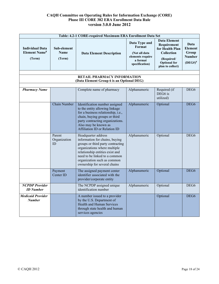|                                                                     |                                      | Table: 4.2-1 CORE-required Maximum ERA Enrollment Data Set                                                                                                                                                                                                    |                                                                                            |                                                                                                                                     |                                                                |
|---------------------------------------------------------------------|--------------------------------------|---------------------------------------------------------------------------------------------------------------------------------------------------------------------------------------------------------------------------------------------------------------|--------------------------------------------------------------------------------------------|-------------------------------------------------------------------------------------------------------------------------------------|----------------------------------------------------------------|
| <b>Individual Data</b><br><b>Element Name<sup>8</sup></b><br>(Term) | Sub-element<br><b>Name</b><br>(Term) | <b>Data Element Description</b>                                                                                                                                                                                                                               | Data Type and<br>Format<br>(Not all data<br>elements require<br>a format<br>specification) | <b>Data Element</b><br>Requirement<br>for Health Plan<br><b>Collection</b><br>(Required/<br><b>Optional</b> for<br>plan to collect) | Data<br><b>Element</b><br>Group<br><b>Number</b><br>$(DEG#)^9$ |
|                                                                     |                                      | <b>RETAIL PHARMACY INFORMATION</b>                                                                                                                                                                                                                            |                                                                                            |                                                                                                                                     |                                                                |
|                                                                     |                                      | (Data Element Group 6 is an Optional DEG)                                                                                                                                                                                                                     |                                                                                            |                                                                                                                                     |                                                                |
| <b>Pharmacy Name</b>                                                |                                      | Complete name of pharmacy                                                                                                                                                                                                                                     | Alphanumeric                                                                               | Required (if<br>DEG6 is<br>utilized)                                                                                                | DEG <sub>6</sub>                                               |
|                                                                     | Chain Number                         | Identification number assigned<br>to the entity allowing linkage<br>for a business relationship, i.e.,<br>chain, buying groups or third<br>party contracting organizations.<br>Also may be known as<br>Affiliation ID or Relation ID                          | Alphanumeric                                                                               | Optional                                                                                                                            | DEG <sub>6</sub>                                               |
|                                                                     | Parent<br>Organization<br>ID         | Headquarter address<br>information for chains, buying<br>groups or third party contracting<br>organizations where multiple<br>relationship entities exist and<br>need to be linked to a common<br>organization such as common<br>ownership for several chains | Alphanumeric                                                                               | Optional                                                                                                                            | DEG <sub>6</sub>                                               |
|                                                                     | Payment<br>Center ID                 | The assigned payment center<br>identifier associated with the<br>provider/corporate entity                                                                                                                                                                    | Alphanumeric                                                                               | Optional                                                                                                                            | DEG <sub>6</sub>                                               |
| <b>NCPDP</b> Provider<br><b>ID</b> Number                           |                                      | The NCPDP assigned unique<br>identification number                                                                                                                                                                                                            | Alphanumeric                                                                               | Optional                                                                                                                            | DEG <sub>6</sub>                                               |
| <b>Medicaid Provider</b><br><b>Number</b>                           |                                      | A number issued to a provider<br>by the U.S. Department of<br><b>Health and Human Services</b><br>through state health and human<br>services agencies                                                                                                         |                                                                                            | Optional                                                                                                                            | DEG <sub>6</sub>                                               |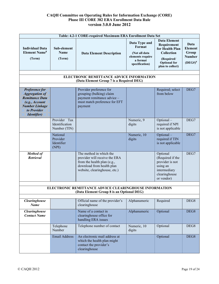|                                                                                                                                                    |                                                | Table: 4.2-1 CORE-required Maximum ERA Enrollment Data Set                                                                                            |                                                                                            |                                                                                                                                     |                                                                |
|----------------------------------------------------------------------------------------------------------------------------------------------------|------------------------------------------------|-------------------------------------------------------------------------------------------------------------------------------------------------------|--------------------------------------------------------------------------------------------|-------------------------------------------------------------------------------------------------------------------------------------|----------------------------------------------------------------|
| <b>Individual Data</b><br><b>Element Name<sup>8</sup></b><br>(Term)                                                                                | Sub-element<br><b>Name</b><br>(Term)           | <b>Data Element Description</b>                                                                                                                       | Data Type and<br>Format<br>(Not all data<br>elements require<br>a format<br>specification) | <b>Data Element</b><br>Requirement<br>for Health Plan<br><b>Collection</b><br>(Required/<br><b>Optional</b> for<br>plan to collect) | Data<br><b>Element</b><br>Group<br><b>Number</b><br>$(DEG#)^9$ |
|                                                                                                                                                    |                                                | ELECTRONIC REMITTANCE ADVICE INFORMATION                                                                                                              |                                                                                            |                                                                                                                                     |                                                                |
|                                                                                                                                                    |                                                | (Data Element Group 7 is a Required DEG)                                                                                                              |                                                                                            |                                                                                                                                     |                                                                |
| Preference for<br><b>Aggregation of</b><br><b>Remittance Data</b><br>(e.g., Account<br><b>Number Linkage</b><br>to Provider<br><b>Identifier</b> ) |                                                | Provider preference for<br>grouping (bulking) claim<br>payment remittance advice -<br>must match preference for EFT<br>payment                        |                                                                                            | Required; select<br>from below                                                                                                      | DEG7                                                           |
|                                                                                                                                                    | Provider Tax<br>Identification<br>Number (TIN) |                                                                                                                                                       | Numeric, 9<br>digits                                                                       | Optional-<br>required if NPI<br>is not applicable                                                                                   | DEG7                                                           |
|                                                                                                                                                    | National<br>Provider<br>Identifier<br>(NPI)    |                                                                                                                                                       | Numeric, 10<br>digits                                                                      | Optional-<br>required if TIN<br>is not applicable                                                                                   | DEG7                                                           |
| <b>Method of</b><br>Retrieval                                                                                                                      |                                                | The method in which the<br>provider will receive the ERA<br>from the health plan (e.g.,<br>download from health plan<br>website, clearinghouse, etc.) |                                                                                            | Optional<br>(Required if the<br>provider is not<br>using an<br>intermediary<br>clearinghouse<br>or vendor)                          | DEG7                                                           |
|                                                                                                                                                    |                                                | ELECTRONIC REMITTANCE ADVICE CLEARINGHOUSE INFORMATION                                                                                                |                                                                                            |                                                                                                                                     |                                                                |
|                                                                                                                                                    |                                                | (Data Element Group 8 is an Optional DEG)                                                                                                             |                                                                                            |                                                                                                                                     |                                                                |
| <b>Clearinghouse</b><br><b>Name</b>                                                                                                                |                                                | Official name of the provider's<br>clearinghouse                                                                                                      | Alphanumeric                                                                               | Required                                                                                                                            | DEG8                                                           |
| Clearinghouse<br><b>Contact Name</b>                                                                                                               |                                                | Name of a contact in<br>clearinghouse office for<br>handling ERA issues                                                                               | Alphanumeric                                                                               | Optional                                                                                                                            | DEG8                                                           |
|                                                                                                                                                    | Telephone<br>Number                            | Telephone number of contact                                                                                                                           | Numeric, 10<br>digits                                                                      | Optional                                                                                                                            | DEG8                                                           |
|                                                                                                                                                    | Email Address                                  | An electronic mail address at<br>which the health plan might<br>contact the provider's<br>clearinghouse                                               |                                                                                            | Optional                                                                                                                            | DEG8                                                           |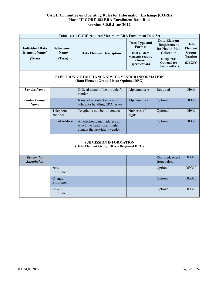|                                                                     |                                      | Table: 4.2-1 CORE-required Maximum ERA Enrollment Data Set                                    |                                                                                            |                                                                                                                                     |                                                                |
|---------------------------------------------------------------------|--------------------------------------|-----------------------------------------------------------------------------------------------|--------------------------------------------------------------------------------------------|-------------------------------------------------------------------------------------------------------------------------------------|----------------------------------------------------------------|
| <b>Individual Data</b><br><b>Element Name<sup>8</sup></b><br>(Term) | Sub-element<br><b>Name</b><br>(Term) | <b>Data Element Description</b>                                                               | Data Type and<br>Format<br>(Not all data<br>elements require<br>a format<br>specification) | <b>Data Element</b><br>Requirement<br>for Health Plan<br><b>Collection</b><br>(Required/<br><b>Optional</b> for<br>plan to collect) | Data<br><b>Element</b><br>Group<br><b>Number</b><br>$(DEG#)^9$ |
|                                                                     |                                      |                                                                                               |                                                                                            |                                                                                                                                     |                                                                |
|                                                                     |                                      | ELECTRONIC REMITTANCE ADVICE VENDOR INFORMATION<br>(Data Element Group 9 is an Optional DEG)  |                                                                                            |                                                                                                                                     |                                                                |
|                                                                     |                                      |                                                                                               |                                                                                            |                                                                                                                                     |                                                                |
| <b>Vendor Name</b>                                                  |                                      | Official name of the provider's<br>vendor                                                     | Alphanumeric                                                                               | Required                                                                                                                            | DEG9                                                           |
| <b>Vendor Contact</b><br><b>Name</b>                                |                                      | Name of a contact in vendor<br>office for handling ERA issues                                 | Alphanumeric                                                                               | Optional                                                                                                                            | DEG9                                                           |
|                                                                     | Telephone<br>Number                  | Telephone number of contact                                                                   | Numeric, 10<br>digits                                                                      | Optional                                                                                                                            | DEG9                                                           |
|                                                                     | <b>Email Address</b>                 | An electronic mail address at<br>which the health plan might<br>contact the provider's vendor |                                                                                            | Optional                                                                                                                            | DEG9                                                           |
|                                                                     |                                      |                                                                                               |                                                                                            |                                                                                                                                     |                                                                |
|                                                                     |                                      | <b>SUBMISSION INFORMATION</b>                                                                 |                                                                                            |                                                                                                                                     |                                                                |
|                                                                     |                                      | (Data Element Group 10 is a Required DEG)                                                     |                                                                                            |                                                                                                                                     |                                                                |
|                                                                     |                                      |                                                                                               |                                                                                            |                                                                                                                                     |                                                                |
| <b>Reason for</b><br><b>Submission</b>                              |                                      |                                                                                               |                                                                                            | Required; select<br>from below                                                                                                      | DEG10                                                          |
|                                                                     | New<br>Enrollment                    |                                                                                               |                                                                                            | Optional                                                                                                                            | DEG10                                                          |
|                                                                     | Change<br>Enrollment                 |                                                                                               |                                                                                            | Optional                                                                                                                            | DEG10                                                          |
|                                                                     | Cancel<br>Enrollment                 |                                                                                               |                                                                                            | Optional                                                                                                                            | DEG10                                                          |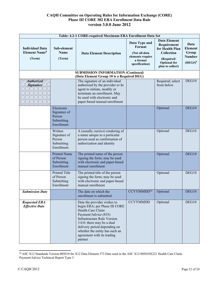|                                                                     | Table: 4.2-1 CORE-required Maximum ERA Enrollment Data Set       |                                                                                                                                                                                                                                                                                          |                                                                                            |                                                                                                                              |                                                                |  |
|---------------------------------------------------------------------|------------------------------------------------------------------|------------------------------------------------------------------------------------------------------------------------------------------------------------------------------------------------------------------------------------------------------------------------------------------|--------------------------------------------------------------------------------------------|------------------------------------------------------------------------------------------------------------------------------|----------------------------------------------------------------|--|
| <b>Individual Data</b><br><b>Element Name<sup>8</sup></b><br>(Term) | Sub-element<br><b>Name</b><br>(Term)                             | <b>Data Element Description</b>                                                                                                                                                                                                                                                          | Data Type and<br>Format<br>(Not all data<br>elements require<br>a format<br>specification) | <b>Data Element</b><br>Requirement<br>for Health Plan<br>Collection<br>(Required/<br><b>Optional</b> for<br>plan to collect) | Data<br><b>Element</b><br>Group<br><b>Number</b><br>$(DEG#)^9$ |  |
|                                                                     |                                                                  | <b>SUBMISSION INFORMATION (Continued)</b><br>(Data Element Group 10 is a Required DEG)                                                                                                                                                                                                   |                                                                                            |                                                                                                                              |                                                                |  |
| Authorized<br><b>Signature</b>                                      |                                                                  | The signature of an individual<br>authorized by the provider or its<br>agent to initiate, modify or<br>terminate an enrollment. May<br>be used with electronic and<br>paper-based manual enrollment                                                                                      |                                                                                            | Required; select<br>from below                                                                                               | DEG10                                                          |  |
|                                                                     | Electronic<br>Signature of<br>Person<br>Submitting<br>Enrollment |                                                                                                                                                                                                                                                                                          |                                                                                            | Optional                                                                                                                     | DEG10                                                          |  |
|                                                                     | Written<br>Signature of<br>Person<br>Submitting<br>Enrollment    | A (usually cursive) rendering of<br>a name unique to a particular<br>person used as confirmation of<br>authorization and identity                                                                                                                                                        |                                                                                            | Optional                                                                                                                     | DEG10                                                          |  |
|                                                                     | <b>Printed Name</b><br>of Person<br>Submitting<br>Enrollment     | The printed name of the person<br>signing the form; may be used<br>with electronic and paper-based<br>manual enrollment                                                                                                                                                                  |                                                                                            | Optional                                                                                                                     | DEG10                                                          |  |
|                                                                     | Printed Title<br>of Person<br>Submitting<br>Enrollment           | The printed title of the person<br>signing the form; may be used<br>with electronic and paper-based<br>manual enrollment                                                                                                                                                                 |                                                                                            | Optional                                                                                                                     | DEG10                                                          |  |
| <b>Submission Date</b>                                              |                                                                  | The date on which the<br>enrollment is submitted                                                                                                                                                                                                                                         | CCYYMMDD <sup>24</sup>                                                                     | Optional                                                                                                                     | DEG10                                                          |  |
| <b>Requested ERA</b><br><b>Effective Date</b>                       |                                                                  | Date the provider wishes to<br>begin ERA; per Phase III CORE<br>Health Care Claim<br>Payment/Advice (835)<br><b>Infrastructure Rule Version</b><br>3.0.0: there may be a dual<br>delivery period depending on<br>whether the entity has such an<br>agreement with its trading<br>partner | <b>CCYYMMDD</b>                                                                            | Optional                                                                                                                     | DEG10                                                          |  |

<sup>&</sup>lt;sup>24</sup> ASC X12 Standards Version 005010 for X12 Data Element 373 Date used in the ASC X12 005010X221 Health Care Claim Payment/Advice Technical Report Type 3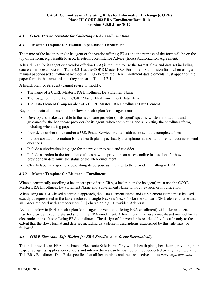## <span id="page-20-0"></span>*4.3 CORE Master Template for Collecting ERA Enrollment Data*

#### <span id="page-20-1"></span>**4.3.1 Master Template for Manual Paper-Based Enrollment**

The name of the health plan (or its agent or the vendor offering ERA) and the purpose of the form will be on the top of the form, e.g., Health Plan X: Electronic Remittance Advice (ERA) Authorization Agreement.

A health plan (or its agent or a vendor offering ERA) is required to use the format, flow and data set including data element descriptions in Table 4.2-1 as the CORE Master ERA Enrollment Submission form when using a manual paper-based enrollment method. All CORE-required ERA Enrollment data elements must appear on the paper form in the same order as they appear in Table 4.2-1.

A health plan (or its agent) cannot revise or modify:

- The name of a CORE Master ERA Enrollment Data Element Name
- The usage requirement of a CORE Master ERA Enrollment Data Element
- The Data Element Group number of a CORE Master ERA Enrollment Data Element

Beyond the data elements and their flow, a health plan (or its agent) must:

- Develop and make available to the healthcare provider (or its agent) specific written instructions and guidance for the healthcare provider (or its agent) when completing and submitting the enrollmentform, including when using paper
- Provide a number to fax and/or a U.S. Postal Service or email address to send the completed form
- Include contact information for the health plan, specifically a telephone number and/or email address to send questions
- Include authorization language for the provider to read and consider
- Include a section in the form that outlines how the provider can access online instructions for how the provider can determine the status of the ERA enrollment
- Clearly label any appendix describing its purpose as it relates to the provider enrolling in ERA

#### <span id="page-20-2"></span>**4.3.2 Master Template for Electronic Enrollment**

When electronically enrolling a healthcare provider in ERA, a health plan (or its agent) must use the CORE Master ERA Enrollment Data Element Name and Sub-element Name without revision or modification.

When using an XML-based electronic approach, the Data Element Name and Sub-element Name must be used exactly as represented in the table enclosed in angle brackets (i.e.,  $\langle \rangle$ ) for the standard XML element name and all spaces replaced with an underscore [  $\Box$ ] character, e.g., <Provider Address>.

As noted below in §4.4, a health plan (or its agent or vendors offering ERA enrollment) will offer an electronic way for provider to complete and submit the ERA enrollment. A health plan may use a web-based method for its electronic approach to offering ERA enrollment. The design of the website is restricted by this rule only to the extent that the flow, format and data set including data element descriptions established by this rule must be followed.

### <span id="page-20-3"></span>*4.4 CORE Electronic Safe Harbor for ERA Enrollment to Occur Electronically*

This rule provides an ERA enrollment "Electronic Safe Harbor" by which health plans, healthcare providers,their respective agents, application vendors and intermediaries can be assured will be supported by any trading partner. This ERA Enrollment Data Rule specifies that all health plans and their respective agents *must implement and*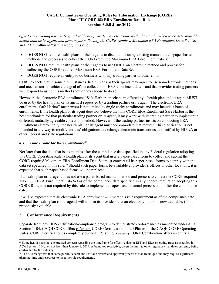*offer to any trading partner (e.g., a healthcare provider) an electronic method (actual method to be determined by health plan or its agent) and process for collecting the CORE-required Maximum ERA Enrollment Data Set.* As an ERA enrollment "Safe Harbor," this rule:

- **DOES NOT** require health plans or their agents to discontinue using existing manual and/or paper-based methods and processes to collect the CORE-required Maximum ERA Enrollment Data Set.
- **DOES NOT** require health plans or their agents to use ONLY an electronic method and process for collecting the CORE-required Maximum ERA Enrollment Data Set.
- **DOES NOT** require an entity to do business with any trading partner or other entity.

CORE expects that in some circumstances, health plans or their agents may agree to use non-electronic methods and mechanisms to achieve the goal of the collection of ERA enrollment data – and that provider trading partners will respond to using this method should they choose to do so.

However, the electronic ERA enrollment "Safe Harbor" mechanism offered by a health plan and its agent MUST be used by the health plan or its agent if requested by a trading partner or its agent. The electronic ERA enrollment "Safe Harbor" mechanism is not limited to single entity enrollments and may include a batch of enrollments. If the health plan or its agent does not believe that this CORE ERA Enrollment Safe Harbor is the best mechanism for that particular trading partner or its agent, it may work with its trading partner to implement a different, mutually agreeable collection method. However, if the trading partner insists on conducting ERA Enrollment electronically, the health plan or its agent must accommodate that request. This clarification is not intended in any way to modify entities' obligations to exchange electronic transactions as specified by HIPAA or other Federal and state regulations.

# <span id="page-21-0"></span>*4.5 Time Frame for Rule Compliance25*

Not later than the date that is six months after the compliance date specified in any Federal regulation adopting this CORE Operating Rule, a health plan or its agent that uses a paper-based form to collect and submit the CORE-required Maximum ERA Enrollment Data Set must convert all its paper-based forms to comply with the data set specified in this rule.<sup>26</sup> Should such paper forms be available at provider's offices or other locations, it is expected that such paper-based forms will be replaced.

If a health plan or its agent does not use a paper-based manual method and process to collect the CORE-required Maximum ERA Enrollment Data Set as of the compliance date specified in any Federal regulation adopting this CORE Rule, it is not required by this rule to implement a paper-based manual process on or after the compliance date.

It will be expected that all electronic ERA enrollment will meet this rule requirement as of the compliance date, and that the health plan (or its agent) will inform its providers that an electronic option is now available, if not previously available.

# <span id="page-21-1"></span>**5 Conformance Requirements**

Separate from any HHS certification/compliance program to demonstrate conformance as mandated underACA Section 1104, CAQH CORE offers *voluntary* CORE Certification for all Phases of the CAQH CORE Operating Rules. CORE Certification is completely optional. Pursuing *voluntary* CORE Certification offers an entity a

 $^{25}$  Some health plans have expressed concern regarding the timeframe for effective date of EFT and ERA operating rules as specified in ACA Section 1104, i.e., not later than January 1, 2014, as being too restrictive, given the myriad other regulatory mandates currently being confronted by the industry.

<sup>&</sup>lt;sup>26</sup> The rule recognizes that some public/Federal entities have review and approval processes that are unique and may require significant planning time and resources to meet the rule requirements.